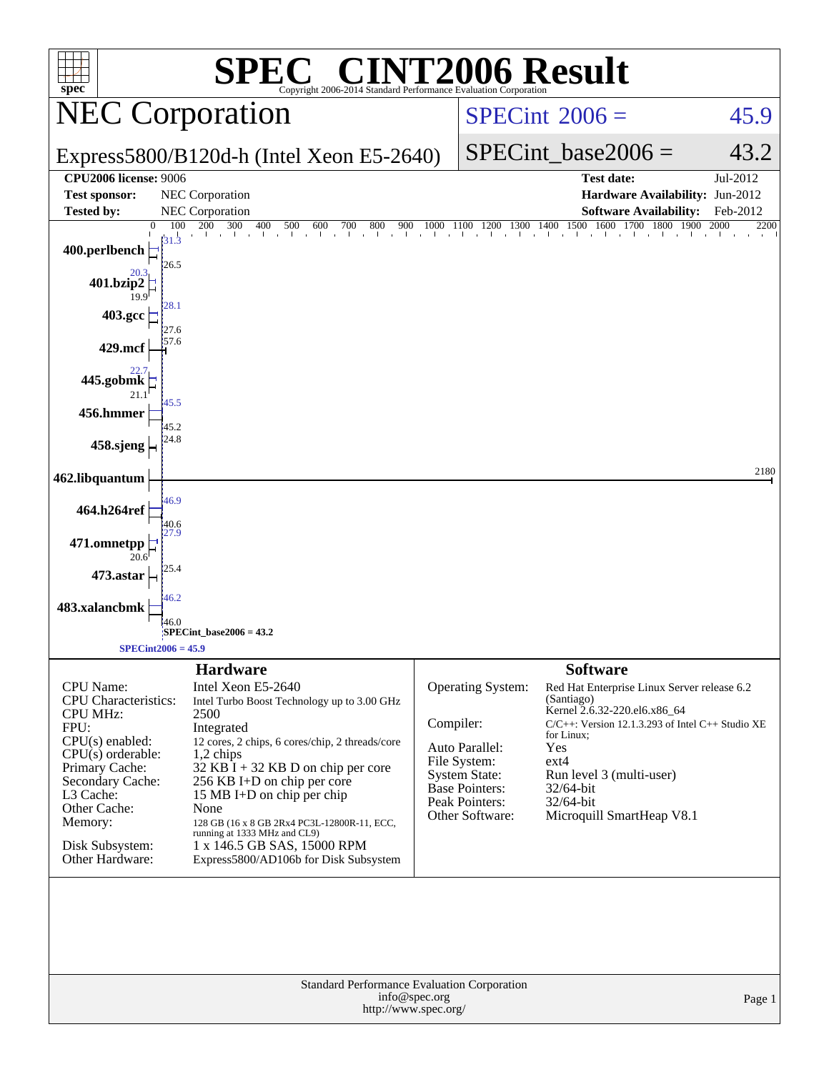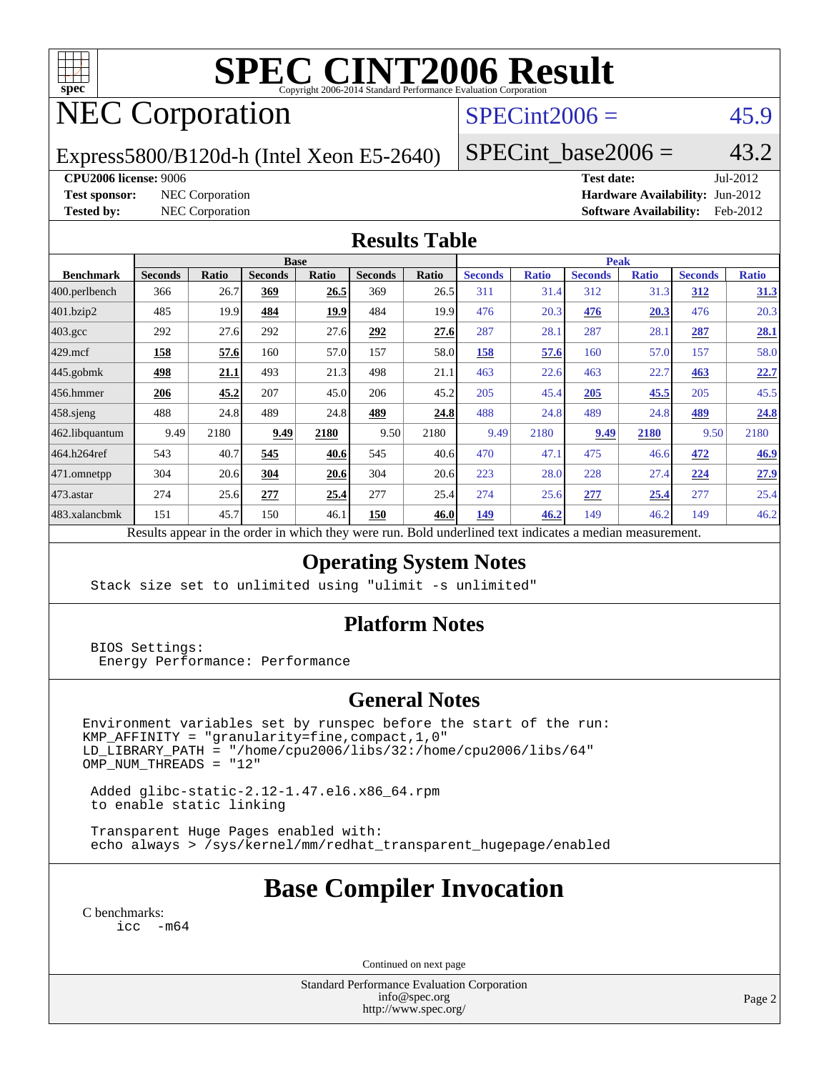

# **[SPEC CINT2006 Result](http://www.spec.org/auto/cpu2006/Docs/result-fields.html#SPECCINT2006Result)**

# NEC Corporation

## $SPECint2006 = 45.9$  $SPECint2006 = 45.9$

Express5800/B120d-h (Intel Xeon E5-2640)

 $SPECTnt\_base2006 = 43.2$ 

**[CPU2006 license:](http://www.spec.org/auto/cpu2006/Docs/result-fields.html#CPU2006license)** 9006 **[Test date:](http://www.spec.org/auto/cpu2006/Docs/result-fields.html#Testdate)** Jul-2012 **[Test sponsor:](http://www.spec.org/auto/cpu2006/Docs/result-fields.html#Testsponsor)** NEC Corporation **NEC Corporation [Hardware Availability:](http://www.spec.org/auto/cpu2006/Docs/result-fields.html#HardwareAvailability)** Jun-2012 **[Tested by:](http://www.spec.org/auto/cpu2006/Docs/result-fields.html#Testedby)** NEC Corporation **[Software Availability:](http://www.spec.org/auto/cpu2006/Docs/result-fields.html#SoftwareAvailability)** Feb-2012

### **[Results Table](http://www.spec.org/auto/cpu2006/Docs/result-fields.html#ResultsTable)**

|                                                                                                                     | <b>Base</b>    |              |                |       |                |       | <b>Peak</b>    |              |                |              |                |              |
|---------------------------------------------------------------------------------------------------------------------|----------------|--------------|----------------|-------|----------------|-------|----------------|--------------|----------------|--------------|----------------|--------------|
| <b>Benchmark</b>                                                                                                    | <b>Seconds</b> | <b>Ratio</b> | <b>Seconds</b> | Ratio | <b>Seconds</b> | Ratio | <b>Seconds</b> | <b>Ratio</b> | <b>Seconds</b> | <b>Ratio</b> | <b>Seconds</b> | <b>Ratio</b> |
| 400.perlbench                                                                                                       | 366            | 26.7         | 369            | 26.5  | 369            | 26.5  | 311            | 31.4         | 312            | 31.3         | <u>312</u>     | 31.3         |
| 401.bzip2                                                                                                           | 485            | 19.9         | 484            | 19.9  | 484            | 19.9  | 476            | 20.3         | 476            | 20.3         | 476            | 20.3         |
| $403.\mathrm{gcc}$                                                                                                  | 292            | 27.6         | 292            | 27.6  | 292            | 27.6  | 287            | 28.1         | 287            | 28.1         | 287            | 28.1         |
| $429$ .mcf                                                                                                          | 158            | 57.6         | 160            | 57.0  | 157            | 58.0  | 158            | 57.6         | 160            | 57.0         | 157            | 58.0         |
| $445$ .gobmk                                                                                                        | 498            | 21.1         | 493            | 21.3  | 498            | 21.1  | 463            | 22.6         | 463            | 22.7         | 463            | 22.7         |
| 456.hmmer                                                                                                           | 206            | 45.2         | 207            | 45.0  | 206            | 45.2  | 205            | 45.4         | 205            | 45.5         | 205            | 45.5         |
| $458$ sjeng                                                                                                         | 488            | 24.8         | 489            | 24.8  | 489            | 24.8  | 488            | 24.8         | 489            | 24.8         | 489            | 24.8         |
| 462.libquantum                                                                                                      | 9.49           | 2180         | 9.49           | 2180  | 9.50           | 2180  | 9.49           | 2180         | 9.49           | 2180         | 9.50           | 2180         |
| 464.h264ref                                                                                                         | 543            | 40.7         | 545            | 40.6  | 545            | 40.6  | 470            | 47.1         | 475            | 46.6         | 472            | 46.9         |
| 471.omnetpp                                                                                                         | 304            | 20.6         | 304            | 20.6  | 304            | 20.6  | 223            | 28.0         | 228            | 27.4         | 224            | 27.9         |
| $473$ . astar                                                                                                       | 274            | 25.6         | 277            | 25.4  | 277            | 25.4  | 274            | 25.6         | 277            | 25.4         | 277            | 25.4         |
| 483.xalancbmk                                                                                                       | 151            | 45.7         | 150            | 46.1  | 150            | 46.0  | 149            | 46.2         | 149            | 46.2         | 149            | 46.2         |
| Described and also the their and an indicate the these created man<br>Deld and called to almost indicates a madison |                |              |                |       |                |       |                |              |                |              |                |              |

Results appear in the [order in which they were run.](http://www.spec.org/auto/cpu2006/Docs/result-fields.html#RunOrder) Bold underlined text [indicates a median measurement.](http://www.spec.org/auto/cpu2006/Docs/result-fields.html#Median)

### **[Operating System Notes](http://www.spec.org/auto/cpu2006/Docs/result-fields.html#OperatingSystemNotes)**

Stack size set to unlimited using "ulimit -s unlimited"

### **[Platform Notes](http://www.spec.org/auto/cpu2006/Docs/result-fields.html#PlatformNotes)**

 BIOS Settings: Energy Performance: Performance

### **[General Notes](http://www.spec.org/auto/cpu2006/Docs/result-fields.html#GeneralNotes)**

Environment variables set by runspec before the start of the run: KMP\_AFFINITY = "granularity=fine,compact,1,0" LD\_LIBRARY\_PATH = "/home/cpu2006/libs/32:/home/cpu2006/libs/64"  $OMP$  NUM THREADS = "12"

 Added glibc-static-2.12-1.47.el6.x86\_64.rpm to enable static linking

 Transparent Huge Pages enabled with: echo always > /sys/kernel/mm/redhat\_transparent\_hugepage/enabled

## **[Base Compiler Invocation](http://www.spec.org/auto/cpu2006/Docs/result-fields.html#BaseCompilerInvocation)**

[C benchmarks](http://www.spec.org/auto/cpu2006/Docs/result-fields.html#Cbenchmarks): [icc -m64](http://www.spec.org/cpu2006/results/res2012q3/cpu2006-20120802-24022.flags.html#user_CCbase_intel_icc_64bit_f346026e86af2a669e726fe758c88044)

Continued on next page

Standard Performance Evaluation Corporation [info@spec.org](mailto:info@spec.org) <http://www.spec.org/>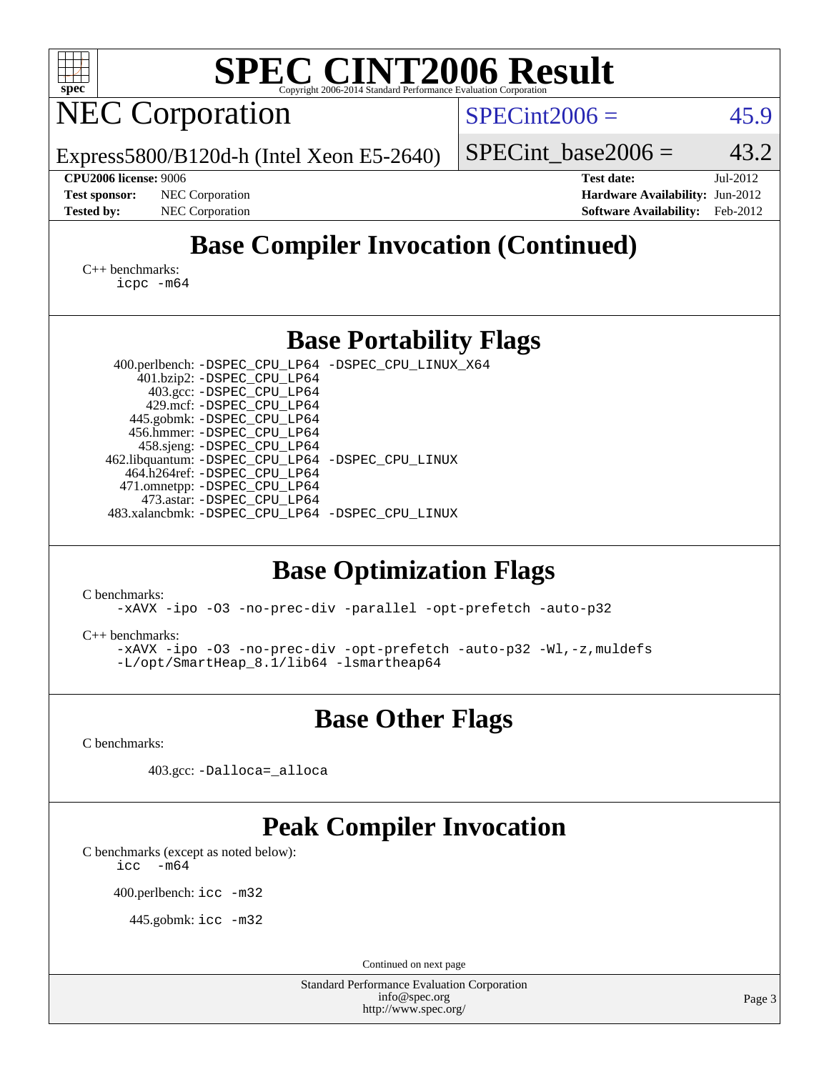| <b>SPEC CINT2006 Result</b><br>Copyright 2006-2014 Standard Performance Evaluation Corporation                                                                                                                                                                |  |  |  |  |  |  |  |  |  |
|---------------------------------------------------------------------------------------------------------------------------------------------------------------------------------------------------------------------------------------------------------------|--|--|--|--|--|--|--|--|--|
| $SPECint2006 =$<br>45.9                                                                                                                                                                                                                                       |  |  |  |  |  |  |  |  |  |
| 43.2<br>$SPECint\_base2006 =$<br>Express5800/B120d-h (Intel Xeon E5-2640)                                                                                                                                                                                     |  |  |  |  |  |  |  |  |  |
| <b>Test date:</b><br>Jul-2012<br>Hardware Availability: Jun-2012<br><b>Software Availability:</b><br>Feb-2012                                                                                                                                                 |  |  |  |  |  |  |  |  |  |
| <b>Base Compiler Invocation (Continued)</b>                                                                                                                                                                                                                   |  |  |  |  |  |  |  |  |  |
| $C_{++}$ benchmarks:<br>icpc -m64                                                                                                                                                                                                                             |  |  |  |  |  |  |  |  |  |
| <b>Base Portability Flags</b>                                                                                                                                                                                                                                 |  |  |  |  |  |  |  |  |  |
| 400.perlbench: -DSPEC_CPU_LP64 -DSPEC_CPU_LINUX_X64<br>462.libquantum: -DSPEC_CPU_LP64 -DSPEC_CPU_LINUX<br>483.xalancbmk: -DSPEC_CPU_LP64 -DSPEC_CPU_LINUX<br><b>Base Optimization Flags</b><br>-xAVX -ipo -03 -no-prec-div -parallel -opt-prefetch -auto-p32 |  |  |  |  |  |  |  |  |  |
| -xAVX -ipo -03 -no-prec-div -opt-prefetch -auto-p32 -Wl,-z, muldefs<br>-L/opt/SmartHeap_8.1/lib64 -lsmartheap64                                                                                                                                               |  |  |  |  |  |  |  |  |  |
| <b>Base Other Flags</b>                                                                                                                                                                                                                                       |  |  |  |  |  |  |  |  |  |
|                                                                                                                                                                                                                                                               |  |  |  |  |  |  |  |  |  |
|                                                                                                                                                                                                                                                               |  |  |  |  |  |  |  |  |  |
| <b>Peak Compiler Invocation</b>                                                                                                                                                                                                                               |  |  |  |  |  |  |  |  |  |
| Continued on next page<br><b>Standard Performance Evaluation Corporation</b><br>info@spec.org                                                                                                                                                                 |  |  |  |  |  |  |  |  |  |
| Page 3<br>http://www.spec.org/                                                                                                                                                                                                                                |  |  |  |  |  |  |  |  |  |
|                                                                                                                                                                                                                                                               |  |  |  |  |  |  |  |  |  |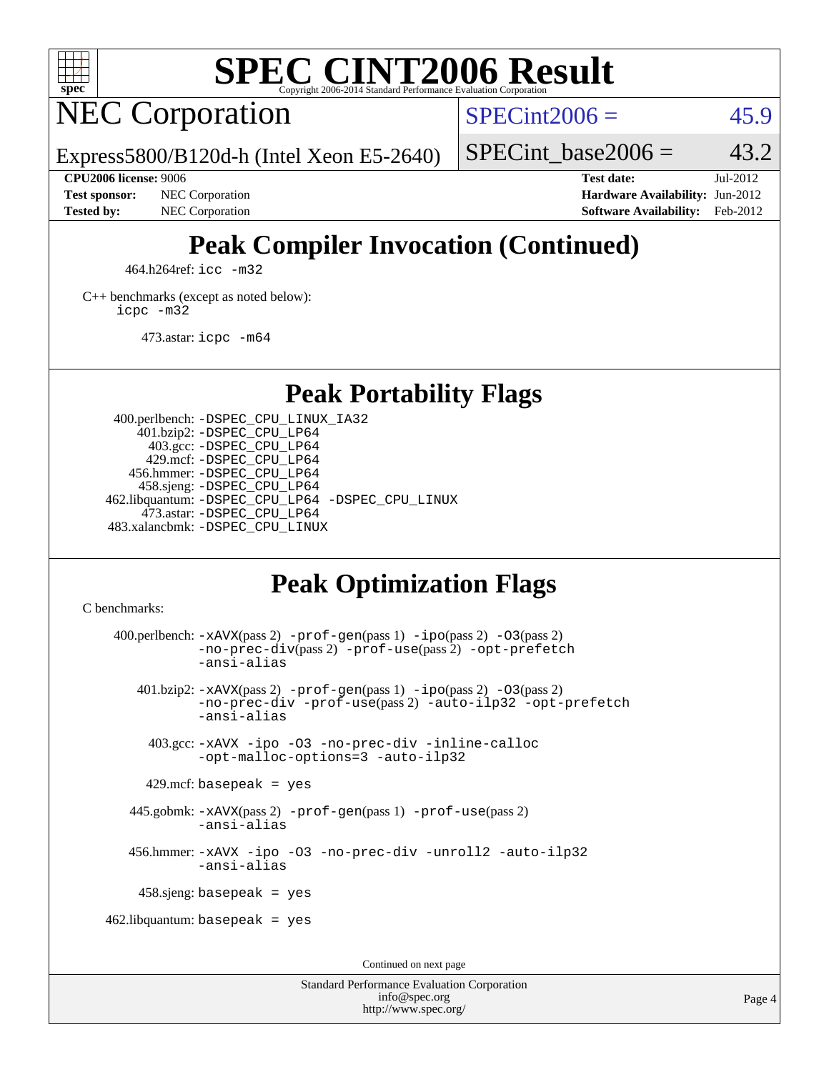

# **[SPEC CINT2006 Result](http://www.spec.org/auto/cpu2006/Docs/result-fields.html#SPECCINT2006Result)**

# NEC Corporation

 $SPECint2006 = 45.9$  $SPECint2006 = 45.9$ 

Express5800/B120d-h (Intel Xeon E5-2640)

**[CPU2006 license:](http://www.spec.org/auto/cpu2006/Docs/result-fields.html#CPU2006license)** 9006 **[Test date:](http://www.spec.org/auto/cpu2006/Docs/result-fields.html#Testdate)** Jul-2012

**[Test sponsor:](http://www.spec.org/auto/cpu2006/Docs/result-fields.html#Testsponsor)** NEC Corporation **NEC Corporation [Hardware Availability:](http://www.spec.org/auto/cpu2006/Docs/result-fields.html#HardwareAvailability)** Jun-2012

SPECint base2006 =  $43.2$ 

**[Tested by:](http://www.spec.org/auto/cpu2006/Docs/result-fields.html#Testedby)** NEC Corporation **[Software Availability:](http://www.spec.org/auto/cpu2006/Docs/result-fields.html#SoftwareAvailability)** Feb-2012

# **[Peak Compiler Invocation \(Continued\)](http://www.spec.org/auto/cpu2006/Docs/result-fields.html#PeakCompilerInvocation)**

464.h264ref: [icc -m32](http://www.spec.org/cpu2006/results/res2012q3/cpu2006-20120802-24022.flags.html#user_peakCCLD464_h264ref_intel_icc_a6a621f8d50482236b970c6ac5f55f93)

[C++ benchmarks \(except as noted below\):](http://www.spec.org/auto/cpu2006/Docs/result-fields.html#CXXbenchmarksexceptasnotedbelow) [icpc -m32](http://www.spec.org/cpu2006/results/res2012q3/cpu2006-20120802-24022.flags.html#user_CXXpeak_intel_icpc_4e5a5ef1a53fd332b3c49e69c3330699)

473.astar: [icpc -m64](http://www.spec.org/cpu2006/results/res2012q3/cpu2006-20120802-24022.flags.html#user_peakCXXLD473_astar_intel_icpc_64bit_fc66a5337ce925472a5c54ad6a0de310)

**[Peak Portability Flags](http://www.spec.org/auto/cpu2006/Docs/result-fields.html#PeakPortabilityFlags)**

 400.perlbench: [-DSPEC\\_CPU\\_LINUX\\_IA32](http://www.spec.org/cpu2006/results/res2012q3/cpu2006-20120802-24022.flags.html#b400.perlbench_peakCPORTABILITY_DSPEC_CPU_LINUX_IA32) 401.bzip2: [-DSPEC\\_CPU\\_LP64](http://www.spec.org/cpu2006/results/res2012q3/cpu2006-20120802-24022.flags.html#suite_peakPORTABILITY401_bzip2_DSPEC_CPU_LP64) 403.gcc: [-DSPEC\\_CPU\\_LP64](http://www.spec.org/cpu2006/results/res2012q3/cpu2006-20120802-24022.flags.html#suite_peakPORTABILITY403_gcc_DSPEC_CPU_LP64) 429.mcf: [-DSPEC\\_CPU\\_LP64](http://www.spec.org/cpu2006/results/res2012q3/cpu2006-20120802-24022.flags.html#suite_peakPORTABILITY429_mcf_DSPEC_CPU_LP64) 456.hmmer: [-DSPEC\\_CPU\\_LP64](http://www.spec.org/cpu2006/results/res2012q3/cpu2006-20120802-24022.flags.html#suite_peakPORTABILITY456_hmmer_DSPEC_CPU_LP64) 458.sjeng: [-DSPEC\\_CPU\\_LP64](http://www.spec.org/cpu2006/results/res2012q3/cpu2006-20120802-24022.flags.html#suite_peakPORTABILITY458_sjeng_DSPEC_CPU_LP64) 462.libquantum: [-DSPEC\\_CPU\\_LP64](http://www.spec.org/cpu2006/results/res2012q3/cpu2006-20120802-24022.flags.html#suite_peakPORTABILITY462_libquantum_DSPEC_CPU_LP64) [-DSPEC\\_CPU\\_LINUX](http://www.spec.org/cpu2006/results/res2012q3/cpu2006-20120802-24022.flags.html#b462.libquantum_peakCPORTABILITY_DSPEC_CPU_LINUX) 473.astar: [-DSPEC\\_CPU\\_LP64](http://www.spec.org/cpu2006/results/res2012q3/cpu2006-20120802-24022.flags.html#suite_peakPORTABILITY473_astar_DSPEC_CPU_LP64) 483.xalancbmk: [-DSPEC\\_CPU\\_LINUX](http://www.spec.org/cpu2006/results/res2012q3/cpu2006-20120802-24022.flags.html#b483.xalancbmk_peakCXXPORTABILITY_DSPEC_CPU_LINUX)

# **[Peak Optimization Flags](http://www.spec.org/auto/cpu2006/Docs/result-fields.html#PeakOptimizationFlags)**

[C benchmarks](http://www.spec.org/auto/cpu2006/Docs/result-fields.html#Cbenchmarks):

400.perlbench:  $-xAUX(pass 2)$  -prof-qen(pass 1) [-ipo](http://www.spec.org/cpu2006/results/res2012q3/cpu2006-20120802-24022.flags.html#user_peakPASS2_CFLAGSPASS2_LDCFLAGS400_perlbench_f-ipo)(pass 2) -03(pass 2) [-no-prec-div](http://www.spec.org/cpu2006/results/res2012q3/cpu2006-20120802-24022.flags.html#user_peakPASS2_CFLAGSPASS2_LDCFLAGS400_perlbench_f-no-prec-div)(pass 2) [-prof-use](http://www.spec.org/cpu2006/results/res2012q3/cpu2006-20120802-24022.flags.html#user_peakPASS2_CFLAGSPASS2_LDCFLAGS400_perlbench_prof_use_bccf7792157ff70d64e32fe3e1250b55)(pass 2) [-opt-prefetch](http://www.spec.org/cpu2006/results/res2012q3/cpu2006-20120802-24022.flags.html#user_peakCOPTIMIZE400_perlbench_f-opt-prefetch) [-ansi-alias](http://www.spec.org/cpu2006/results/res2012q3/cpu2006-20120802-24022.flags.html#user_peakCOPTIMIZE400_perlbench_f-ansi-alias) 401.bzip2: [-xAVX](http://www.spec.org/cpu2006/results/res2012q3/cpu2006-20120802-24022.flags.html#user_peakPASS2_CFLAGSPASS2_LDCFLAGS401_bzip2_f-xAVX)(pass 2) [-prof-gen](http://www.spec.org/cpu2006/results/res2012q3/cpu2006-20120802-24022.flags.html#user_peakPASS1_CFLAGSPASS1_LDCFLAGS401_bzip2_prof_gen_e43856698f6ca7b7e442dfd80e94a8fc)(pass 1) [-ipo](http://www.spec.org/cpu2006/results/res2012q3/cpu2006-20120802-24022.flags.html#user_peakPASS2_CFLAGSPASS2_LDCFLAGS401_bzip2_f-ipo)(pass 2) [-O3](http://www.spec.org/cpu2006/results/res2012q3/cpu2006-20120802-24022.flags.html#user_peakPASS2_CFLAGSPASS2_LDCFLAGS401_bzip2_f-O3)(pass 2) [-no-prec-div](http://www.spec.org/cpu2006/results/res2012q3/cpu2006-20120802-24022.flags.html#user_peakCOPTIMIZEPASS2_CFLAGSPASS2_LDCFLAGS401_bzip2_f-no-prec-div) [-prof-use](http://www.spec.org/cpu2006/results/res2012q3/cpu2006-20120802-24022.flags.html#user_peakPASS2_CFLAGSPASS2_LDCFLAGS401_bzip2_prof_use_bccf7792157ff70d64e32fe3e1250b55)(pass 2) [-auto-ilp32](http://www.spec.org/cpu2006/results/res2012q3/cpu2006-20120802-24022.flags.html#user_peakCOPTIMIZE401_bzip2_f-auto-ilp32) [-opt-prefetch](http://www.spec.org/cpu2006/results/res2012q3/cpu2006-20120802-24022.flags.html#user_peakCOPTIMIZE401_bzip2_f-opt-prefetch) [-ansi-alias](http://www.spec.org/cpu2006/results/res2012q3/cpu2006-20120802-24022.flags.html#user_peakCOPTIMIZE401_bzip2_f-ansi-alias) 403.gcc: [-xAVX](http://www.spec.org/cpu2006/results/res2012q3/cpu2006-20120802-24022.flags.html#user_peakCOPTIMIZE403_gcc_f-xAVX) [-ipo](http://www.spec.org/cpu2006/results/res2012q3/cpu2006-20120802-24022.flags.html#user_peakCOPTIMIZE403_gcc_f-ipo) [-O3](http://www.spec.org/cpu2006/results/res2012q3/cpu2006-20120802-24022.flags.html#user_peakCOPTIMIZE403_gcc_f-O3) [-no-prec-div](http://www.spec.org/cpu2006/results/res2012q3/cpu2006-20120802-24022.flags.html#user_peakCOPTIMIZE403_gcc_f-no-prec-div) [-inline-calloc](http://www.spec.org/cpu2006/results/res2012q3/cpu2006-20120802-24022.flags.html#user_peakCOPTIMIZE403_gcc_f-inline-calloc) [-opt-malloc-options=3](http://www.spec.org/cpu2006/results/res2012q3/cpu2006-20120802-24022.flags.html#user_peakCOPTIMIZE403_gcc_f-opt-malloc-options_13ab9b803cf986b4ee62f0a5998c2238) [-auto-ilp32](http://www.spec.org/cpu2006/results/res2012q3/cpu2006-20120802-24022.flags.html#user_peakCOPTIMIZE403_gcc_f-auto-ilp32)  $429$ .mcf: basepeak = yes 445.gobmk: [-xAVX](http://www.spec.org/cpu2006/results/res2012q3/cpu2006-20120802-24022.flags.html#user_peakPASS2_CFLAGSPASS2_LDCFLAGS445_gobmk_f-xAVX)(pass 2) [-prof-gen](http://www.spec.org/cpu2006/results/res2012q3/cpu2006-20120802-24022.flags.html#user_peakPASS1_CFLAGSPASS1_LDCFLAGS445_gobmk_prof_gen_e43856698f6ca7b7e442dfd80e94a8fc)(pass 1) [-prof-use](http://www.spec.org/cpu2006/results/res2012q3/cpu2006-20120802-24022.flags.html#user_peakPASS2_CFLAGSPASS2_LDCFLAGS445_gobmk_prof_use_bccf7792157ff70d64e32fe3e1250b55)(pass 2) [-ansi-alias](http://www.spec.org/cpu2006/results/res2012q3/cpu2006-20120802-24022.flags.html#user_peakCOPTIMIZE445_gobmk_f-ansi-alias) 456.hmmer: [-xAVX](http://www.spec.org/cpu2006/results/res2012q3/cpu2006-20120802-24022.flags.html#user_peakCOPTIMIZE456_hmmer_f-xAVX) [-ipo](http://www.spec.org/cpu2006/results/res2012q3/cpu2006-20120802-24022.flags.html#user_peakCOPTIMIZE456_hmmer_f-ipo) [-O3](http://www.spec.org/cpu2006/results/res2012q3/cpu2006-20120802-24022.flags.html#user_peakCOPTIMIZE456_hmmer_f-O3) [-no-prec-div](http://www.spec.org/cpu2006/results/res2012q3/cpu2006-20120802-24022.flags.html#user_peakCOPTIMIZE456_hmmer_f-no-prec-div) [-unroll2](http://www.spec.org/cpu2006/results/res2012q3/cpu2006-20120802-24022.flags.html#user_peakCOPTIMIZE456_hmmer_f-unroll_784dae83bebfb236979b41d2422d7ec2) [-auto-ilp32](http://www.spec.org/cpu2006/results/res2012q3/cpu2006-20120802-24022.flags.html#user_peakCOPTIMIZE456_hmmer_f-auto-ilp32) [-ansi-alias](http://www.spec.org/cpu2006/results/res2012q3/cpu2006-20120802-24022.flags.html#user_peakCOPTIMIZE456_hmmer_f-ansi-alias) 458.sjeng: basepeak = yes  $462$ .libquantum: basepeak = yes Continued on next page

> Standard Performance Evaluation Corporation [info@spec.org](mailto:info@spec.org) <http://www.spec.org/>

Page 4